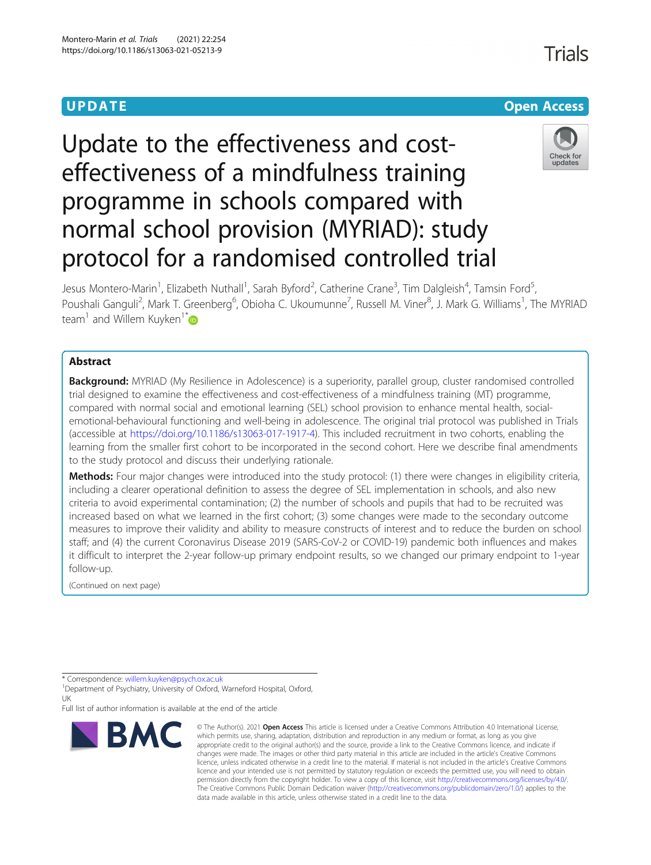## **UPDATE CONSERVATION CONSERVATION**

# Update to the effectiveness and costeffectiveness of a mindfulness training programme in schools compared with normal school provision (MYRIAD): study protocol for a randomised controlled trial



Jesus Montero-Marin<sup>1</sup>, Elizabeth Nuthall<sup>1</sup>, Sarah Byford<sup>2</sup>, Catherine Crane<sup>3</sup>, Tim Dalgleish<sup>4</sup>, Tamsin Ford<sup>5</sup> , Poushali Ganguli<sup>2</sup>, Mark T. Greenberg<sup>6</sup>, Obioha C. Ukoumunne<sup>7</sup>, Russell M. Viner<sup>8</sup>, J. Mark G. Williams<sup>1</sup>, The MYRIAD team<sup>1</sup> and Willem Kuyken<sup>1[\\*](http://orcid.org/0000-0002-8596-5252)</sup>

### Abstract

Background: MYRIAD (My Resilience in Adolescence) is a superiority, parallel group, cluster randomised controlled trial designed to examine the effectiveness and cost-effectiveness of a mindfulness training (MT) programme, compared with normal social and emotional learning (SEL) school provision to enhance mental health, socialemotional-behavioural functioning and well-being in adolescence. The original trial protocol was published in Trials (accessible at <https://doi.org/10.1186/s13063-017-1917-4>). This included recruitment in two cohorts, enabling the learning from the smaller first cohort to be incorporated in the second cohort. Here we describe final amendments to the study protocol and discuss their underlying rationale.

Methods: Four major changes were introduced into the study protocol: (1) there were changes in eligibility criteria, including a clearer operational definition to assess the degree of SEL implementation in schools, and also new criteria to avoid experimental contamination; (2) the number of schools and pupils that had to be recruited was increased based on what we learned in the first cohort; (3) some changes were made to the secondary outcome measures to improve their validity and ability to measure constructs of interest and to reduce the burden on school staff; and (4) the current Coronavirus Disease 2019 (SARS-CoV-2 or COVID-19) pandemic both influences and makes it difficult to interpret the 2-year follow-up primary endpoint results, so we changed our primary endpoint to 1-year follow-up.

(Continued on next page)

<sup>1</sup>Department of Psychiatry, University of Oxford, Warneford Hospital, Oxford, UK

Full list of author information is available at the end of the article



<sup>©</sup> The Author(s), 2021 **Open Access** This article is licensed under a Creative Commons Attribution 4.0 International License, which permits use, sharing, adaptation, distribution and reproduction in any medium or format, as long as you give appropriate credit to the original author(s) and the source, provide a link to the Creative Commons licence, and indicate if changes were made. The images or other third party material in this article are included in the article's Creative Commons licence, unless indicated otherwise in a credit line to the material. If material is not included in the article's Creative Commons licence and your intended use is not permitted by statutory regulation or exceeds the permitted use, you will need to obtain permission directly from the copyright holder. To view a copy of this licence, visit [http://creativecommons.org/licenses/by/4.0/.](http://creativecommons.org/licenses/by/4.0/) The Creative Commons Public Domain Dedication waiver [\(http://creativecommons.org/publicdomain/zero/1.0/](http://creativecommons.org/publicdomain/zero/1.0/)) applies to the data made available in this article, unless otherwise stated in a credit line to the data.

Trials

<sup>\*</sup> Correspondence: [willem.kuyken@psych.ox.ac.uk](mailto:willem.kuyken@psych.ox.ac.uk) <sup>1</sup>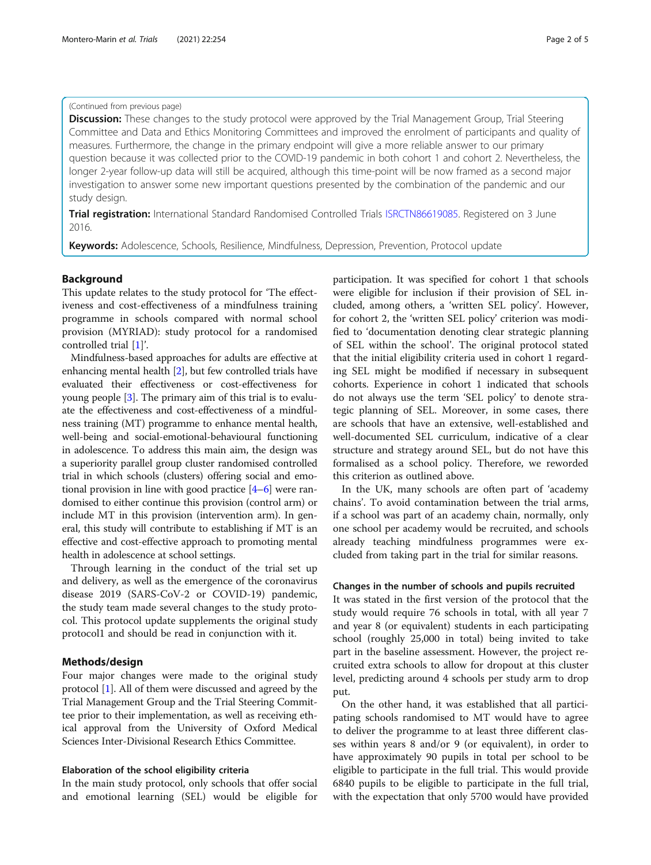#### (Continued from previous page)

**Discussion:** These changes to the study protocol were approved by the Trial Management Group, Trial Steering Committee and Data and Ethics Monitoring Committees and improved the enrolment of participants and quality of measures. Furthermore, the change in the primary endpoint will give a more reliable answer to our primary question because it was collected prior to the COVID-19 pandemic in both cohort 1 and cohort 2. Nevertheless, the longer 2-year follow-up data will still be acquired, although this time-point will be now framed as a second major investigation to answer some new important questions presented by the combination of the pandemic and our study design.

**Trial registration:** International Standard Randomised Controlled Trials [ISRCTN86619085](https://www.isrctn.com/ISRCTN86619085). Registered on 3 June 2016.

Keywords: Adolescence, Schools, Resilience, Mindfulness, Depression, Prevention, Protocol update

#### Background

This update relates to the study protocol for 'The effectiveness and cost-effectiveness of a mindfulness training programme in schools compared with normal school provision (MYRIAD): study protocol for a randomised controlled trial [[1\]](#page-4-0)'.

Mindfulness-based approaches for adults are effective at enhancing mental health [\[2](#page-4-0)], but few controlled trials have evaluated their effectiveness or cost-effectiveness for young people [\[3](#page-4-0)]. The primary aim of this trial is to evaluate the effectiveness and cost-effectiveness of a mindfulness training (MT) programme to enhance mental health, well-being and social-emotional-behavioural functioning in adolescence. To address this main aim, the design was a superiority parallel group cluster randomised controlled trial in which schools (clusters) offering social and emotional provision in line with good practice [[4](#page-4-0)–[6](#page-4-0)] were randomised to either continue this provision (control arm) or include MT in this provision (intervention arm). In general, this study will contribute to establishing if MT is an effective and cost-effective approach to promoting mental health in adolescence at school settings.

Through learning in the conduct of the trial set up and delivery, as well as the emergence of the coronavirus disease 2019 (SARS-CoV-2 or COVID-19) pandemic, the study team made several changes to the study protocol. This protocol update supplements the original study protocol1 and should be read in conjunction with it.

#### Methods/design

Four major changes were made to the original study protocol [\[1\]](#page-4-0). All of them were discussed and agreed by the Trial Management Group and the Trial Steering Committee prior to their implementation, as well as receiving ethical approval from the University of Oxford Medical Sciences Inter-Divisional Research Ethics Committee.

#### Elaboration of the school eligibility criteria

In the main study protocol, only schools that offer social and emotional learning (SEL) would be eligible for participation. It was specified for cohort 1 that schools were eligible for inclusion if their provision of SEL included, among others, a 'written SEL policy'. However, for cohort 2, the 'written SEL policy' criterion was modified to 'documentation denoting clear strategic planning of SEL within the school'. The original protocol stated that the initial eligibility criteria used in cohort 1 regarding SEL might be modified if necessary in subsequent cohorts. Experience in cohort 1 indicated that schools do not always use the term 'SEL policy' to denote strategic planning of SEL. Moreover, in some cases, there are schools that have an extensive, well-established and well-documented SEL curriculum, indicative of a clear structure and strategy around SEL, but do not have this formalised as a school policy. Therefore, we reworded this criterion as outlined above.

In the UK, many schools are often part of 'academy chains'. To avoid contamination between the trial arms, if a school was part of an academy chain, normally, only one school per academy would be recruited, and schools already teaching mindfulness programmes were excluded from taking part in the trial for similar reasons.

#### Changes in the number of schools and pupils recruited

It was stated in the first version of the protocol that the study would require 76 schools in total, with all year 7 and year 8 (or equivalent) students in each participating school (roughly 25,000 in total) being invited to take part in the baseline assessment. However, the project recruited extra schools to allow for dropout at this cluster level, predicting around 4 schools per study arm to drop put.

On the other hand, it was established that all participating schools randomised to MT would have to agree to deliver the programme to at least three different classes within years 8 and/or 9 (or equivalent), in order to have approximately 90 pupils in total per school to be eligible to participate in the full trial. This would provide 6840 pupils to be eligible to participate in the full trial, with the expectation that only 5700 would have provided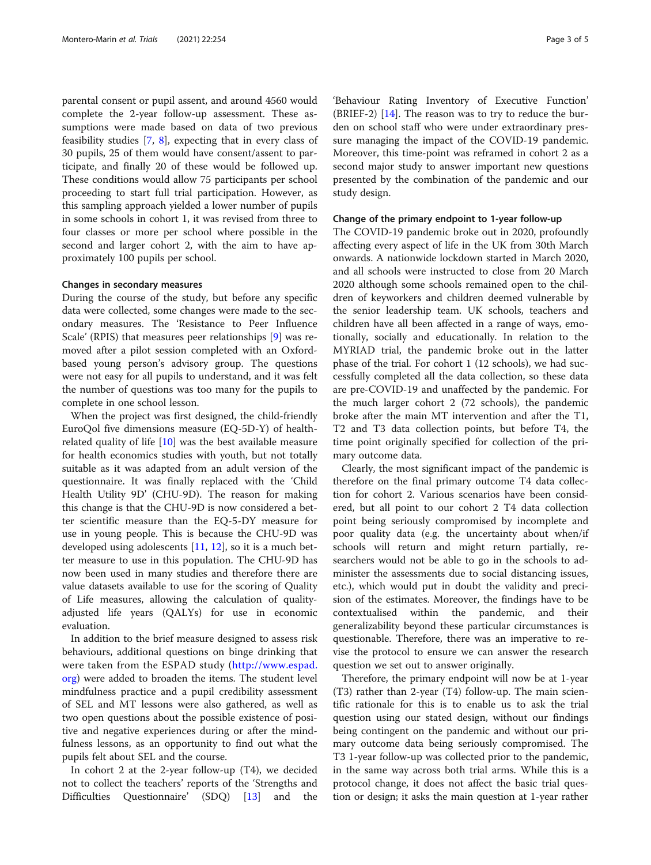parental consent or pupil assent, and around 4560 would complete the 2-year follow-up assessment. These assumptions were made based on data of two previous feasibility studies [\[7](#page-4-0), [8](#page-4-0)], expecting that in every class of 30 pupils, 25 of them would have consent/assent to participate, and finally 20 of these would be followed up. These conditions would allow 75 participants per school proceeding to start full trial participation. However, as this sampling approach yielded a lower number of pupils in some schools in cohort 1, it was revised from three to four classes or more per school where possible in the second and larger cohort 2, with the aim to have approximately 100 pupils per school.

#### Changes in secondary measures

During the course of the study, but before any specific data were collected, some changes were made to the secondary measures. The 'Resistance to Peer Influence Scale' (RPIS) that measures peer relationships [[9\]](#page-4-0) was removed after a pilot session completed with an Oxfordbased young person's advisory group. The questions were not easy for all pupils to understand, and it was felt the number of questions was too many for the pupils to complete in one school lesson.

When the project was first designed, the child-friendly EuroQol five dimensions measure (EQ-5D-Y) of healthrelated quality of life [\[10](#page-4-0)] was the best available measure for health economics studies with youth, but not totally suitable as it was adapted from an adult version of the questionnaire. It was finally replaced with the 'Child Health Utility 9D' (CHU-9D). The reason for making this change is that the CHU-9D is now considered a better scientific measure than the EQ-5-DY measure for use in young people. This is because the CHU-9D was developed using adolescents [\[11,](#page-4-0) [12\]](#page-4-0), so it is a much better measure to use in this population. The CHU-9D has now been used in many studies and therefore there are value datasets available to use for the scoring of Quality of Life measures, allowing the calculation of qualityadjusted life years (QALYs) for use in economic evaluation.

In addition to the brief measure designed to assess risk behaviours, additional questions on binge drinking that were taken from the ESPAD study [\(http://www.espad.](http://www.espad.org) [org](http://www.espad.org)) were added to broaden the items. The student level mindfulness practice and a pupil credibility assessment of SEL and MT lessons were also gathered, as well as two open questions about the possible existence of positive and negative experiences during or after the mindfulness lessons, as an opportunity to find out what the pupils felt about SEL and the course.

In cohort 2 at the 2-year follow-up (T4), we decided not to collect the teachers' reports of the 'Strengths and Difficulties Questionnaire' (SDQ) [[13\]](#page-4-0) and the

'Behaviour Rating Inventory of Executive Function' (BRIEF-2) [[14](#page-4-0)]. The reason was to try to reduce the burden on school staff who were under extraordinary pressure managing the impact of the COVID-19 pandemic. Moreover, this time-point was reframed in cohort 2 as a second major study to answer important new questions presented by the combination of the pandemic and our study design.

#### Change of the primary endpoint to 1-year follow-up

The COVID-19 pandemic broke out in 2020, profoundly affecting every aspect of life in the UK from 30th March onwards. A nationwide lockdown started in March 2020, and all schools were instructed to close from 20 March 2020 although some schools remained open to the children of keyworkers and children deemed vulnerable by the senior leadership team. UK schools, teachers and children have all been affected in a range of ways, emotionally, socially and educationally. In relation to the MYRIAD trial, the pandemic broke out in the latter phase of the trial. For cohort 1 (12 schools), we had successfully completed all the data collection, so these data are pre-COVID-19 and unaffected by the pandemic. For the much larger cohort 2 (72 schools), the pandemic broke after the main MT intervention and after the T1, T2 and T3 data collection points, but before T4, the time point originally specified for collection of the primary outcome data.

Clearly, the most significant impact of the pandemic is therefore on the final primary outcome T4 data collection for cohort 2. Various scenarios have been considered, but all point to our cohort 2 T4 data collection point being seriously compromised by incomplete and poor quality data (e.g. the uncertainty about when/if schools will return and might return partially, researchers would not be able to go in the schools to administer the assessments due to social distancing issues, etc.), which would put in doubt the validity and precision of the estimates. Moreover, the findings have to be contextualised within the pandemic, and their generalizability beyond these particular circumstances is questionable. Therefore, there was an imperative to revise the protocol to ensure we can answer the research question we set out to answer originally.

Therefore, the primary endpoint will now be at 1-year (T3) rather than 2-year (T4) follow-up. The main scientific rationale for this is to enable us to ask the trial question using our stated design, without our findings being contingent on the pandemic and without our primary outcome data being seriously compromised. The T3 1-year follow-up was collected prior to the pandemic, in the same way across both trial arms. While this is a protocol change, it does not affect the basic trial question or design; it asks the main question at 1-year rather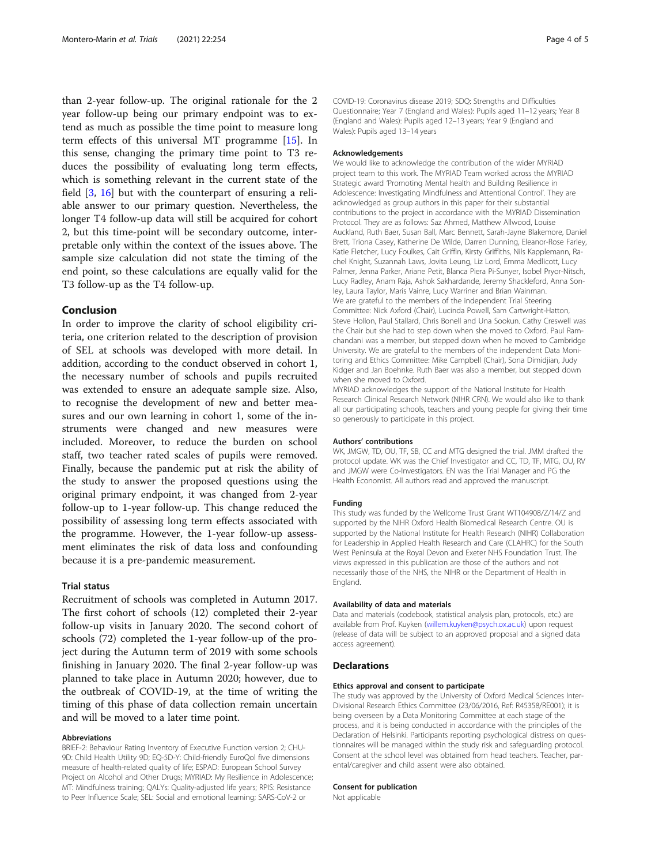than 2-year follow-up. The original rationale for the 2 year follow-up being our primary endpoint was to extend as much as possible the time point to measure long term effects of this universal MT programme [[15\]](#page-4-0). In this sense, changing the primary time point to T3 reduces the possibility of evaluating long term effects, which is something relevant in the current state of the field [\[3](#page-4-0), [16\]](#page-4-0) but with the counterpart of ensuring a reliable answer to our primary question. Nevertheless, the longer T4 follow-up data will still be acquired for cohort 2, but this time-point will be secondary outcome, interpretable only within the context of the issues above. The sample size calculation did not state the timing of the end point, so these calculations are equally valid for the T3 follow-up as the T4 follow-up.

#### Conclusion

In order to improve the clarity of school eligibility criteria, one criterion related to the description of provision of SEL at schools was developed with more detail. In addition, according to the conduct observed in cohort 1, the necessary number of schools and pupils recruited was extended to ensure an adequate sample size. Also, to recognise the development of new and better measures and our own learning in cohort 1, some of the instruments were changed and new measures were included. Moreover, to reduce the burden on school staff, two teacher rated scales of pupils were removed. Finally, because the pandemic put at risk the ability of the study to answer the proposed questions using the original primary endpoint, it was changed from 2-year follow-up to 1-year follow-up. This change reduced the possibility of assessing long term effects associated with the programme. However, the 1-year follow-up assessment eliminates the risk of data loss and confounding because it is a pre-pandemic measurement.

#### Trial status

Recruitment of schools was completed in Autumn 2017. The first cohort of schools (12) completed their 2-year follow-up visits in January 2020. The second cohort of schools (72) completed the 1-year follow-up of the project during the Autumn term of 2019 with some schools finishing in January 2020. The final 2-year follow-up was planned to take place in Autumn 2020; however, due to the outbreak of COVID-19, at the time of writing the timing of this phase of data collection remain uncertain and will be moved to a later time point.

#### Abbreviations

BRIEF-2: Behaviour Rating Inventory of Executive Function version 2; CHU-9D: Child Health Utility 9D; EQ-5D-Y: Child-friendly EuroQol five dimensions measure of health-related quality of life; ESPAD: European School Survey Project on Alcohol and Other Drugs; MYRIAD: My Resilience in Adolescence; MT: Mindfulness training; QALYs: Quality-adjusted life years; RPIS: Resistance to Peer Influence Scale; SEL: Social and emotional learning; SARS-CoV-2 or

COVID-19: Coronavirus disease 2019; SDQ: Strengths and Difficulties Questionnaire; Year 7 (England and Wales): Pupils aged 11–12 years; Year 8 (England and Wales): Pupils aged 12–13 years; Year 9 (England and Wales): Pupils aged 13–14 years

#### Acknowledgements

We would like to acknowledge the contribution of the wider MYRIAD project team to this work. The MYRIAD Team worked across the MYRIAD Strategic award 'Promoting Mental health and Building Resilience in Adolescence: Investigating Mindfulness and Attentional Control'. They are acknowledged as group authors in this paper for their substantial contributions to the project in accordance with the MYRIAD Dissemination Protocol. They are as follows: Saz Ahmed, Matthew Allwood, Louise Auckland, Ruth Baer, Susan Ball, Marc Bennett, Sarah-Jayne Blakemore, Daniel Brett, Triona Casey, Katherine De Wilde, Darren Dunning, Eleanor-Rose Farley, Katie Fletcher, Lucy Foulkes, Cait Griffin, Kirsty Griffiths, Nils Kapplemann, Rachel Knight, Suzannah Laws, Jovita Leung, Liz Lord, Emma Medlicott, Lucy Palmer, Jenna Parker, Ariane Petit, Blanca Piera Pi-Sunyer, Isobel Pryor-Nitsch, Lucy Radley, Anam Raja, Ashok Sakhardande, Jeremy Shackleford, Anna Sonley, Laura Taylor, Maris Vainre, Lucy Warriner and Brian Wainman. We are grateful to the members of the independent Trial Steering Committee: Nick Axford (Chair), Lucinda Powell, Sam Cartwright-Hatton, Steve Hollon, Paul Stallard, Chris Bonell and Una Sookun. Cathy Creswell was the Chair but she had to step down when she moved to Oxford. Paul Ramchandani was a member, but stepped down when he moved to Cambridge University. We are grateful to the members of the independent Data Monitoring and Ethics Committee: Mike Campbell (Chair), Sona Dimidjian, Judy Kidger and Jan Boehnke. Ruth Baer was also a member, but stepped down when she moved to Oxford.

MYRIAD acknowledges the support of the National Institute for Health Research Clinical Research Network (NIHR CRN). We would also like to thank all our participating schools, teachers and young people for giving their time so generously to participate in this project.

#### Authors' contributions

WK, JMGW, TD, OU, TF, SB, CC and MTG designed the trial. JMM drafted the protocol update. WK was the Chief Investigator and CC, TD, TF, MTG, OU, RV and JMGW were Co-Investigators. EN was the Trial Manager and PG the Health Economist. All authors read and approved the manuscript.

#### Funding

This study was funded by the Wellcome Trust Grant WT104908/Z/14/Z and supported by the NIHR Oxford Health Biomedical Research Centre. OU is supported by the National Institute for Health Research (NIHR) Collaboration for Leadership in Applied Health Research and Care (CLAHRC) for the South West Peninsula at the Royal Devon and Exeter NHS Foundation Trust. The views expressed in this publication are those of the authors and not necessarily those of the NHS, the NIHR or the Department of Health in England.

#### Availability of data and materials

Data and materials (codebook, statistical analysis plan, protocols, etc.) are available from Prof. Kuyken [\(willem.kuyken@psych.ox.ac.uk\)](mailto:willem.kuyken@psych.ox.ac.uk) upon request (release of data will be subject to an approved proposal and a signed data access agreement).

#### Declarations

#### Ethics approval and consent to participate

The study was approved by the University of Oxford Medical Sciences Inter-Divisional Research Ethics Committee (23/06/2016, Ref: R45358/RE001); it is being overseen by a Data Monitoring Committee at each stage of the process, and it is being conducted in accordance with the principles of the Declaration of Helsinki. Participants reporting psychological distress on questionnaires will be managed within the study risk and safeguarding protocol. Consent at the school level was obtained from head teachers. Teacher, parental/caregiver and child assent were also obtained.

#### Consent for publication

Not applicable